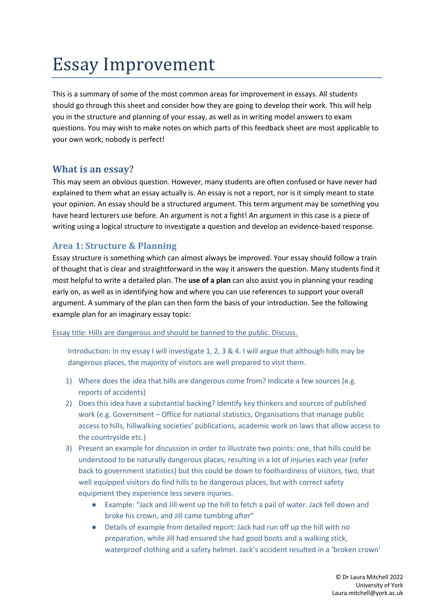# Essay Improvement

This is a summary of some of the most common areas for improvement in essays. All students should go through this sheet and consider how they are going to develop their work. This will help you in the structure and planning of your essay, as well as in writing model answers to exam questions. You may wish to make notes on which parts of this feedback sheet are most applicable to your own work; nobody is perfect!

## **What is an essay?**

This may seem an obvious question. However, many students are often confused or have never had explained to them what an essay actually is. An essay is not a report, nor is it simply meant to state your opinion. An essay should be a structured argument. This term argument may be something you have heard lecturers use before. An argument is not a fight! An argument in this case is a piece of writing using a logical structure to investigate a question and develop an evidence-based response.

## **Area 1: Structure & Planning**

Essay structure is something which can almost always be improved. Your essay should follow a train of thought that is clear and straightforward in the way it answers the question. Many students find it most helpful to write a detailed plan. The **use of a plan** can also assist you in planning your reading early on, as well as in identifying how and where you can use references to support your overall argument. A summary of the plan can then form the basis of your introduction. See the following example plan for an imaginary essay topic:

Essay title: Hills are dangerous and should be banned to the public. Discuss.

Introduction: In my essay I will investigate 1, 2, 3 & 4. I will argue that although hills may be dangerous places, the majority of visitors are well prepared to visit them.

- 1) Where does the idea that hills are dangerous come from? Indicate a few sources (e.g. reports of accidents)
- 2) Does this idea have a substantial backing? Identify key thinkers and sources of published work (e.g. Government – Office for national statistics, Organisations that manage public access to hills, hillwalking societies' publications, academic work on laws that allow access to the countryside etc.)
- 3) Present an example for discussion in order to illustrate two points: one, that hills could be understood to be naturally dangerous places, resulting in a lot of injuries each year (refer back to government statistics) but this could be down to foolhardiness of visitors, two, that well equipped visitors do find hills to be dangerous places, but with correct safety equipment they experience less severe injuries.
	- Example: "Jack and Jill went up the hill to fetch a pail of water. Jack fell down and broke his crown, and Jill came tumbling after"
	- Details of example from detailed report: Jack had run off up the hill with no preparation, while Jill had ensured she had good boots and a walking stick, waterproof clothing and a safety helmet. Jack's accident resulted in a 'broken crown'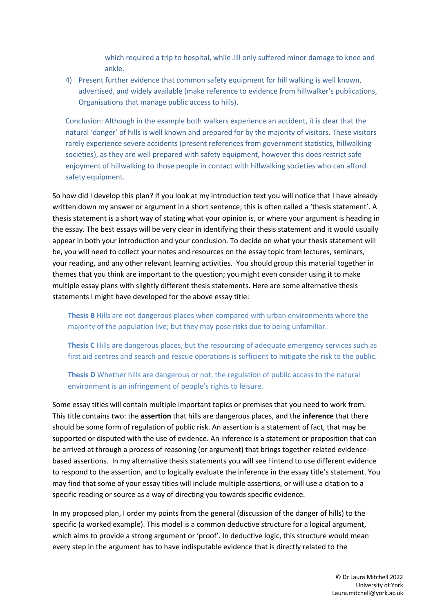which required a trip to hospital, while Jill only suffered minor damage to knee and ankle.

4) Present further evidence that common safety equipment for hill walking is well known, advertised, and widely available (make reference to evidence from hillwalker's publications, Organisations that manage public access to hills).

Conclusion: Although in the example both walkers experience an accident, it is clear that the natural 'danger' of hills is well known and prepared for by the majority of visitors. These visitors rarely experience severe accidents (present references from government statistics, hillwalking societies), as they are well prepared with safety equipment, however this does restrict safe enjoyment of hillwalking to those people in contact with hillwalking societies who can afford safety equipment.

So how did I develop this plan? If you look at my introduction text you will notice that I have already written down my answer or argument in a short sentence; this is often called a 'thesis statement'. A thesis statement is a short way of stating what your opinion is, or where your argument is heading in the essay. The best essays will be very clear in identifying their thesis statement and it would usually appear in both your introduction and your conclusion. To decide on what your thesis statement will be, you will need to collect your notes and resources on the essay topic from lectures, seminars, your reading, and any other relevant learning activities. You should group this material together in themes that you think are important to the question; you might even consider using it to make multiple essay plans with slightly different thesis statements. Here are some alternative thesis statements I might have developed for the above essay title:

**Thesis B** Hills are not dangerous places when compared with urban environments where the majority of the population live; but they may pose risks due to being unfamiliar.

**Thesis C** Hills are dangerous places, but the resourcing of adequate emergency services such as first aid centres and search and rescue operations is sufficient to mitigate the risk to the public.

**Thesis D** Whether hills are dangerous or not, the regulation of public access to the natural environment is an infringement of people's rights to leisure.

Some essay titles will contain multiple important topics or premises that you need to work from. This title contains two: the **assertion** that hills are dangerous places, and the **inference** that there should be some form of regulation of public risk. An assertion is a statement of fact, that may be supported or disputed with the use of evidence. An inference is a statement or proposition that can be arrived at through a process of reasoning (or argument) that brings together related evidencebased assertions. In my alternative thesis statements you will see I intend to use different evidence to respond to the assertion, and to logically evaluate the inference in the essay title's statement. You may find that some of your essay titles will include multiple assertions, or will use a citation to a specific reading or source as a way of directing you towards specific evidence.

In my proposed plan, I order my points from the general (discussion of the danger of hills) to the specific (a worked example). This model is a common deductive structure for a logical argument, which aims to provide a strong argument or 'proof'. In deductive logic, this structure would mean every step in the argument has to have indisputable evidence that is directly related to the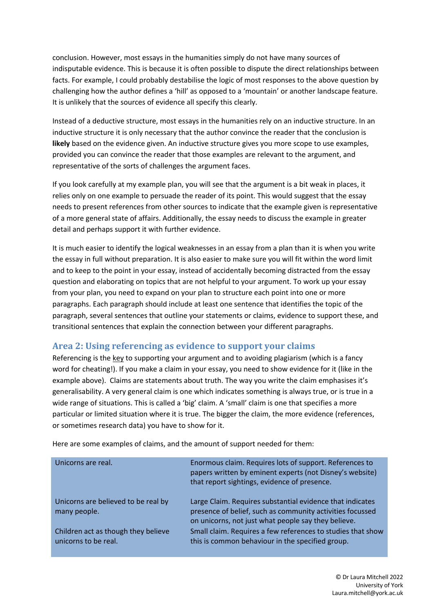conclusion. However, most essays in the humanities simply do not have many sources of indisputable evidence. This is because it is often possible to dispute the direct relationships between facts. For example, I could probably destabilise the logic of most responses to the above question by challenging how the author defines a 'hill' as opposed to a 'mountain' or another landscape feature. It is unlikely that the sources of evidence all specify this clearly.

Instead of a deductive structure, most essays in the humanities rely on an inductive structure. In an inductive structure it is only necessary that the author convince the reader that the conclusion is **likely** based on the evidence given. An inductive structure gives you more scope to use examples, provided you can convince the reader that those examples are relevant to the argument, and representative of the sorts of challenges the argument faces.

If you look carefully at my example plan, you will see that the argument is a bit weak in places, it relies only on one example to persuade the reader of its point. This would suggest that the essay needs to present references from other sources to indicate that the example given is representative of a more general state of affairs. Additionally, the essay needs to discuss the example in greater detail and perhaps support it with further evidence.

It is much easier to identify the logical weaknesses in an essay from a plan than it is when you write the essay in full without preparation. It is also easier to make sure you will fit within the word limit and to keep to the point in your essay, instead of accidentally becoming distracted from the essay question and elaborating on topics that are not helpful to your argument. To work up your essay from your plan, you need to expand on your plan to structure each point into one or more paragraphs. Each paragraph should include at least one sentence that identifies the topic of the paragraph, several sentences that outline your statements or claims, evidence to support these, and transitional sentences that explain the connection between your different paragraphs.

## Area 2: Using referencing as evidence to support your claims

Referencing is the key to supporting your argument and to avoiding plagiarism (which is a fancy word for cheating!). If you make a claim in your essay, you need to show evidence for it (like in the example above). Claims are statements about truth. The way you write the claim emphasises it's generalisability. A very general claim is one which indicates something is always true, or is true in a wide range of situations. This is called a 'big' claim. A 'small' claim is one that specifies a more particular or limited situation where it is true. The bigger the claim, the more evidence (references, or sometimes research data) you have to show for it.

| Unicorns are real.                                          | Enormous claim. Requires lots of support. References to<br>papers written by eminent experts (not Disney's website)<br>that report sightings, evidence of presence.           |
|-------------------------------------------------------------|-------------------------------------------------------------------------------------------------------------------------------------------------------------------------------|
| Unicorns are believed to be real by<br>many people.         | Large Claim. Requires substantial evidence that indicates<br>presence of belief, such as community activities focussed<br>on unicorns, not just what people say they believe. |
| Children act as though they believe<br>unicorns to be real. | Small claim. Requires a few references to studies that show<br>this is common behaviour in the specified group.                                                               |

Here are some examples of claims, and the amount of support needed for them: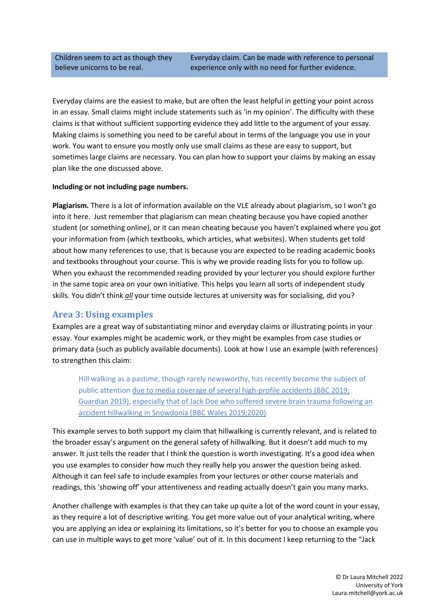Children seem to act as though they believe unicorns to be real.

Everyday claims are the easiest to make, but are often the least helpful in getting your point across in an essay. Small claims might include statements such as 'in my opinion'. The difficulty with these claims is that without sufficient supporting evidence they add little to the argument of your essay. Making claims is something you need to be careful about in terms of the language you use in your work. You want to ensure you mostly only use small claims as these are easy to support, but sometimes large claims are necessary. You can plan how to support your claims by making an essay plan like the one discussed above.

#### **Including or not including page numbers.**

**Plagiarism.** There is a lot of information available on the VLE already about plagiarism, so I won't go into it here. Just remember that plagiarism can mean cheating because you have copied another student (or something online), or it can mean cheating because you haven't explained where you got your information from (which textbooks, which articles, what websites). When students get told about how many references to use, that is because you are expected to be reading academic books and textbooks throughout your course. This is why we provide reading lists for you to follow up. When you exhaust the recommended reading provided by your lecturer you should explore further in the same topic area on your own initiative. This helps you learn all sorts of independent study skills. You didn't think *all* your time outside lectures at university was for socialising, did you?

## **Area 3: Using examples**

Examples are a great way of substantiating minor and everyday claims or illustrating points in your essay. Your examples might be academic work, or they might be examples from case studies or primary data (such as publicly available documents). Look at how I use an example (with references) to strengthen this claim:

Hill walking as a pastime, though rarely newsworthy, has recently become the subject of public attention due to media coverage of several high-profile accidents (BBC 2019; Guardian 2019), especially that of Jack Doe who suffered severe brain trauma following an accident hillwalking in Snowdonia (BBC Wales 2019;2020).

This example serves to both support my claim that hillwalking is currently relevant, and is related to the broader essay's argument on the general safety of hillwalking. But it doesn't add much to my answer. It just tells the reader that I think the question is worth investigating. It's a good idea when you use examples to consider how much they really help you answer the question being asked. Although it can feel safe to include examples from your lectures or other course materials and readings, this 'showing off' your attentiveness and reading actually doesn't gain you many marks.

Another challenge with examples is that they can take up quite a lot of the word count in your essay, as they require a lot of descriptive writing. You get more value out of your analytical writing, where you are applying an idea or explaining its limitations, so it's better for you to choose an example you can use in multiple ways to get more 'value' out of it. In this document I keep returning to the "Jack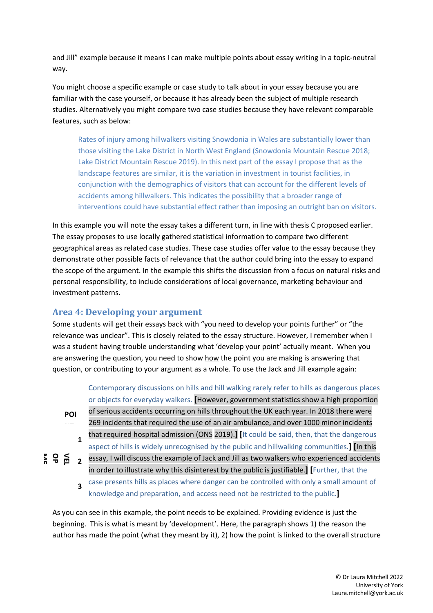and Jill" example because it means I can make multiple points about essay writing in a topic-neutral way.

You might choose a specific example or case study to talk about in your essay because you are familiar with the case yourself, or because it has already been the subject of multiple research studies. Alternatively you might compare two case studies because they have relevant comparable features, such as below:

Rates of injury among hillwalkers visiting Snowdonia in Wales are substantially lower than those visiting the Lake District in North West England (Snowdonia Mountain Rescue 2018; Lake District Mountain Rescue 2019). In this next part of the essay I propose that as the landscape features are similar, it is the variation in investment in tourist facilities, in conjunction with the demographics of visitors that can account for the different levels of accidents among hillwalkers. This indicates the possibility that a broader range of interventions could have substantial effect rather than imposing an outright ban on visitors.

In this example you will note the essay takes a different turn, in line with thesis C proposed earlier. The essay proposes to use locally gathered statistical information to compare two different geographical areas as related case studies. These case studies offer value to the essay because they demonstrate other possible facts of relevance that the author could bring into the essay to expand the scope of the argument. In the example this shifts the discussion from a focus on natural risks and personal responsibility, to include considerations of local governance, marketing behaviour and investment patterns.

## Area 4: Developing your argument

Some students will get their essays back with "you need to develop your points further" or "the relevance was unclear". This is closely related to the essay structure. However, I remember when I was a student having trouble understanding what 'develop your point' actually meant. When you are answering the question, you need to show how the point you are making is answering that question, or contributing to your argument as a whole. To use the Jack and Jill example again:

> Contemporary discussions on hills and hill walking rarely refer to hills as dangerous places or objects for everyday walkers. **[**However, government statistics show a high proportion of serious accidents occurring on hills throughout the UK each year. In 2018 there were

**POI NT**

269 incidents that required the use of an air ambulance, and over 1000 minor incidents that required hospital admission (ONS 2019).**] [**It could be said, then, that the dangerous

aspect of hills is widely unrecognised by the public and hillwalking communities.**] [**In this **1**

essay, I will discuss the example of Jack and Jill as two walkers who experienced accidents in order to illustrate why this disinterest by the public is justifiable.**] [**Further, that the case presents hills as places where danger can be controlled with only a small amount of knowledge and preparation, and access need not be restricted to the public.**] ME OP VEL DE 2 3**

As you can see in this example, the point needs to be explained. Providing evidence is just the beginning. This is what is meant by 'development'. Here, the paragraph shows 1) the reason the author has made the point (what they meant by it), 2) how the point is linked to the overall structure